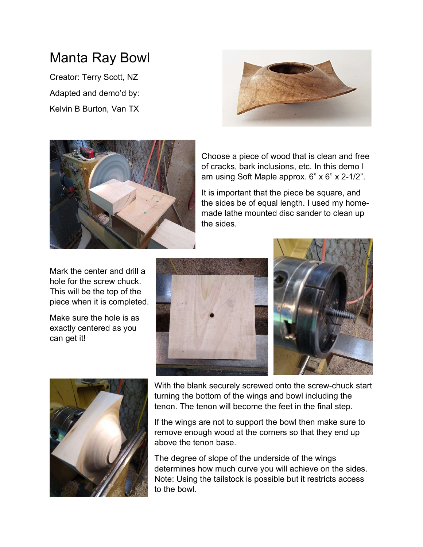## Manta Ray Bowl

Creator: Terry Scott, NZ Adapted and demo'd by: Kelvin B Burton, Van TX





Choose a piece of wood that is clean and free of cracks, bark inclusions, etc. In this demo I am using Soft Maple approx. 6" x 6" x 2-1/2".

It is important that the piece be square, and the sides be of equal length. I used my homemade lathe mounted disc sander to clean up the sides.

Mark the center and drill a hole for the screw chuck. This will be the top of the piece when it is completed.

Make sure the hole is as exactly centered as you can get it!







With the blank securely screwed onto the screw-chuck start turning the bottom of the wings and bowl including the tenon. The tenon will become the feet in the final step.

If the wings are not to support the bowl then make sure to remove enough wood at the corners so that they end up above the tenon base.

The degree of slope of the underside of the wings determines how much curve you will achieve on the sides. Note: Using the tailstock is possible but it restricts access to the bowl.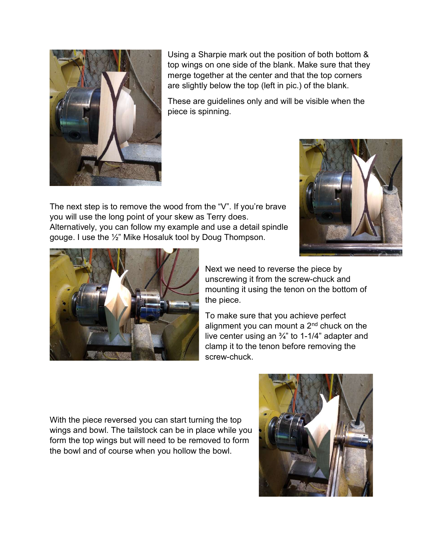

Using a Sharpie mark out the position of both bottom & top wings on one side of the blank. Make sure that they merge together at the center and that the top corners are slightly below the top (left in pic.) of the blank.

These are guidelines only and will be visible when the piece is spinning.

The next step is to remove the wood from the "V". If you're brave you will use the long point of your skew as Terry does. Alternatively, you can follow my example and use a detail spindle gouge. I use the ½" Mike Hosaluk tool by Doug Thompson.





Next we need to reverse the piece by unscrewing it from the screw-chuck and mounting it using the tenon on the bottom of the piece.

To make sure that you achieve perfect alignment you can mount a 2nd chuck on the live center using an ¾" to 1-1/4" adapter and clamp it to the tenon before removing the screw-chuck.

With the piece reversed you can start turning the top wings and bowl. The tailstock can be in place while you form the top wings but will need to be removed to form the bowl and of course when you hollow the bowl.

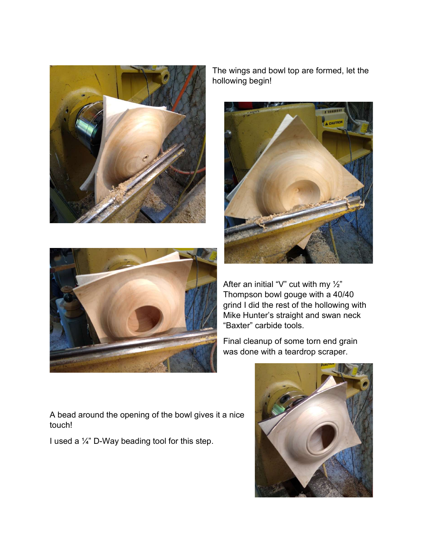

The wings and bowl top are formed, let the hollowing begin!





After an initial "V" cut with my  $\frac{1}{2}$ " Thompson bowl gouge with a 40/40 grind I did the rest of the hollowing with Mike Hunter's straight and swan neck "Baxter" carbide tools.

Final cleanup of some torn end grain was done with a teardrop scraper.



A bead around the opening of the bowl gives it a nice touch!

I used a ¼" D-Way beading tool for this step.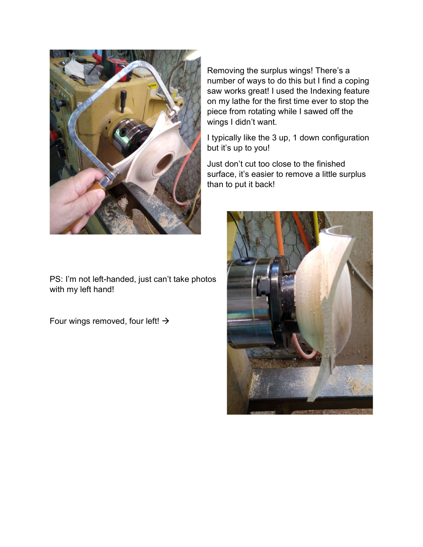

Removing the surplus wings! There's a number of ways to do this but I find a coping saw works great! I used the Indexing feature on my lathe for the first time ever to stop the piece from rotating while I sawed off the wings I didn't want.

I typically like the 3 up, 1 down configuration but it's up to you!

Just don't cut too close to the finished surface, it's easier to remove a little surplus than to put it back!



PS: I'm not left-handed, just can't take photos with my left hand!

Four wings removed, four left!  $\rightarrow$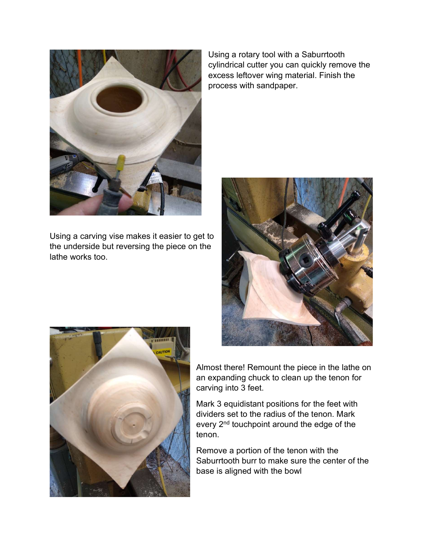

Using a carving vise makes it easier to get to the underside but reversing the piece on the lathe works too.

Using a rotary tool with a Saburrtooth cylindrical cutter you can quickly remove the excess leftover wing material. Finish the process with sandpaper.





Almost there! Remount the piece in the lathe on an expanding chuck to clean up the tenon for carving into 3 feet.

Mark 3 equidistant positions for the feet with dividers set to the radius of the tenon. Mark every 2<sup>nd</sup> touchpoint around the edge of the tenon.

Remove a portion of the tenon with the Saburrtooth burr to make sure the center of the base is aligned with the bowl